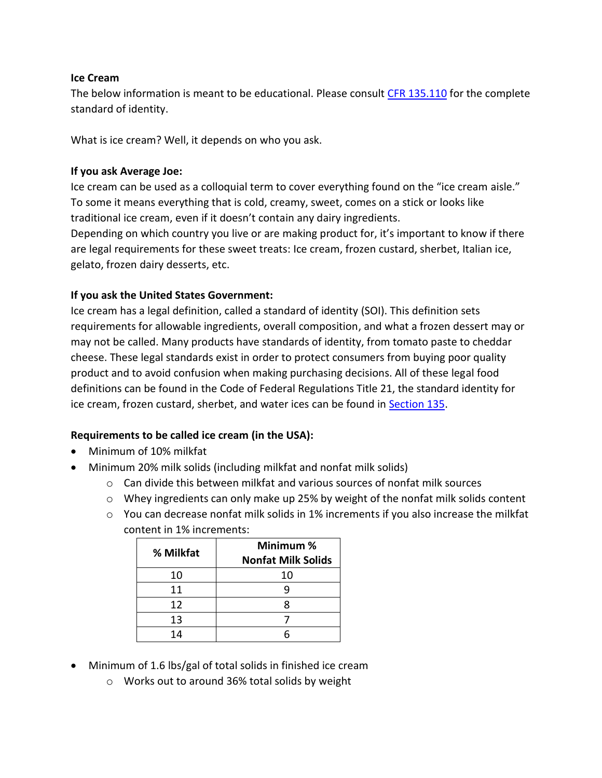### **Ice Cream**

The below information is meant to be educational. Please consult [CFR 135.110](https://www.accessdata.fda.gov/scripts/cdrh/cfdocs/cfcfr/CFRSearch.cfm?fr=135.110) for the complete standard of identity.

What is ice cream? Well, it depends on who you ask.

#### **If you ask Average Joe:**

Ice cream can be used as a colloquial term to cover everything found on the "ice cream aisle." To some it means everything that is cold, creamy, sweet, comes on a stick or looks like traditional ice cream, even if it doesn't contain any dairy ingredients.

Depending on which country you live or are making product for, it's important to know if there are legal requirements for these sweet treats: Ice cream, frozen custard, sherbet, Italian ice, gelato, frozen dairy desserts, etc.

#### **If you ask the United States Government:**

Ice cream has a legal definition, called a standard of identity (SOI). This definition sets requirements for allowable ingredients, overall composition, and what a frozen dessert may or may not be called. Many products have standards of identity, from tomato paste to cheddar cheese. These legal standards exist in order to protect consumers from buying poor quality product and to avoid confusion when making purchasing decisions. All of these legal food definitions can be found in the Code of Federal Regulations Title 21, the standard identity for ice cream, frozen custard, sherbet, and water ices can be found in **Section 135**.

# **Requirements to be called ice cream (in the USA):**

- Minimum of 10% milkfat
- Minimum 20% milk solids (including milkfat and nonfat milk solids)
	- $\circ$  Can divide this between milkfat and various sources of nonfat milk sources
	- $\circ$  Whey ingredients can only make up 25% by weight of the nonfat milk solids content
	- $\circ$  You can decrease nonfat milk solids in 1% increments if you also increase the milkfat content in 1% increments:

| % Milkfat | Minimum %<br><b>Nonfat Milk Solids</b> |
|-----------|----------------------------------------|
| 10        | 10                                     |
| 11        |                                        |
| 12        |                                        |
| 13        |                                        |
| 14        |                                        |

- Minimum of 1.6 lbs/gal of total solids in finished ice cream
	- o Works out to around 36% total solids by weight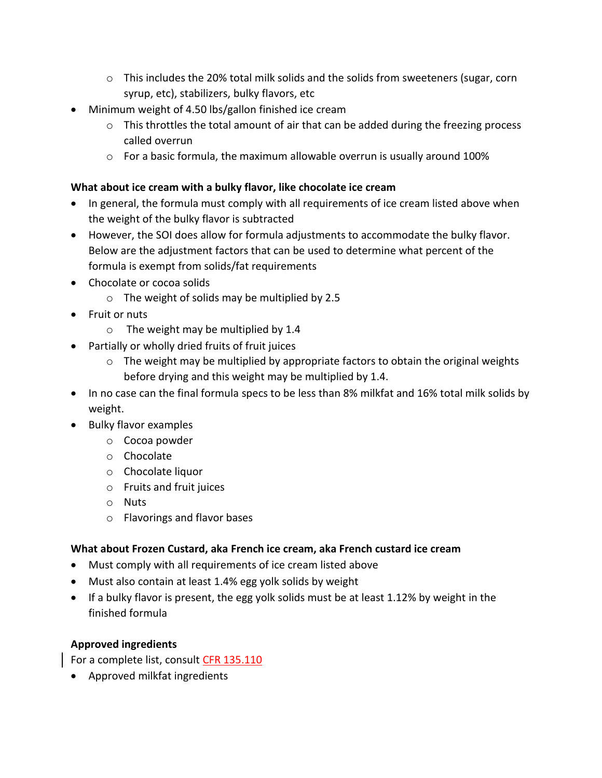- $\circ$  This includes the 20% total milk solids and the solids from sweeteners (sugar, corn syrup, etc), stabilizers, bulky flavors, etc
- Minimum weight of 4.50 lbs/gallon finished ice cream
	- $\circ$  This throttles the total amount of air that can be added during the freezing process called overrun
	- o For a basic formula, the maximum allowable overrun is usually around 100%

### **What about ice cream with a bulky flavor, like chocolate ice cream**

- In general, the formula must comply with all requirements of ice cream listed above when the weight of the bulky flavor is subtracted
- However, the SOI does allow for formula adjustments to accommodate the bulky flavor. Below are the adjustment factors that can be used to determine what percent of the formula is exempt from solids/fat requirements
- Chocolate or cocoa solids
	- o The weight of solids may be multiplied by 2.5
- Fruit or nuts
	- o The weight may be multiplied by 1.4
- Partially or wholly dried fruits of fruit juices
	- o The weight may be multiplied by appropriate factors to obtain the original weights before drying and this weight may be multiplied by 1.4.
- In no case can the final formula specs to be less than 8% milkfat and 16% total milk solids by weight.
- Bulky flavor examples
	- o Cocoa powder
	- o Chocolate
	- o Chocolate liquor
	- o Fruits and fruit juices
	- o Nuts
	- o Flavorings and flavor bases

# **What about Frozen Custard, aka French ice cream, aka French custard ice cream**

- Must comply with all requirements of ice cream listed above
- Must also contain at least 1.4% egg yolk solids by weight
- If a bulky flavor is present, the egg yolk solids must be at least 1.12% by weight in the finished formula

# **Approved ingredients**

For a complete list, consult [CFR 135.110](https://www.accessdata.fda.gov/scripts/cdrh/cfdocs/cfcfr/CFRSearch.cfm?fr=135.110)

Approved milkfat ingredients